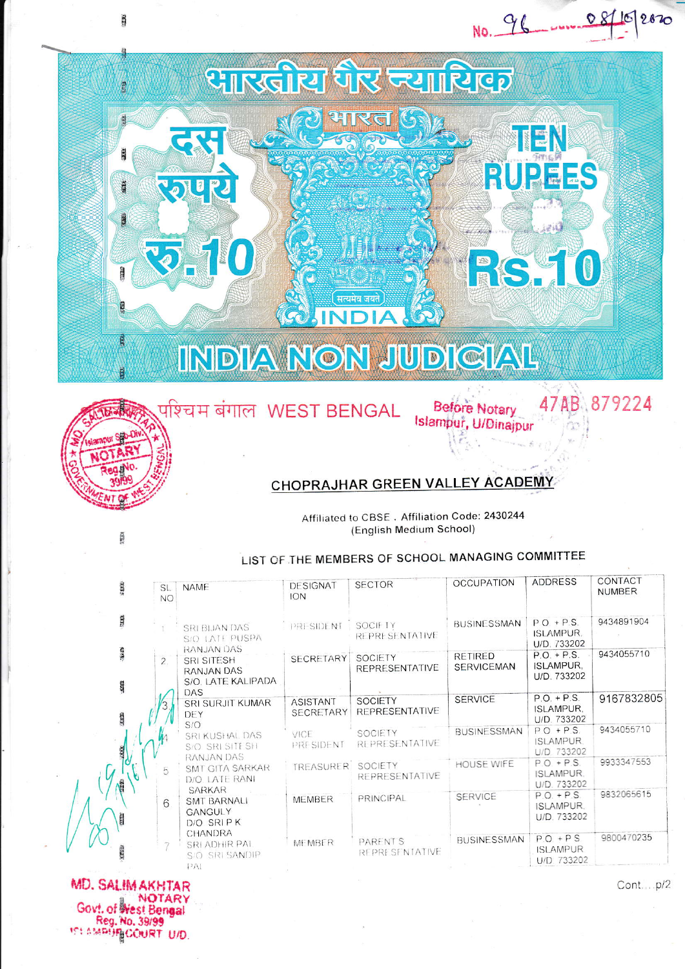## INDIA NON JUDICIAL

सत्यमेव जयते

**NO I** 



题

**B** 

 $\frac{\partial}{\partial x}$ 

388

ans

**THE** 

**REE** 

**GB** 

**PAREPA** 

**PATIO** 

## **CHOPRAJHAR GREEN VALLEY ACADEMY**

Affiliated to CBSE. Affiliation Code: 2430244 (English Medium School)

**Before Notary** Islampur, U/Dinajpur

NO. 96

NEN

**RUPEES** 

**O** 

47AB 879224

र ज्यासिएक

081

2020

## LIST OF THE MEMBERS OF SCHOOL MANAGING COMMITTEE

| $2.679$ .                 | SL.<br><b>NO</b> | <b>NAME</b>                                                                       | <b>DESIGNAT</b><br>ION              | <b>SECTOR</b>                            | <b>OCCUPATION</b>                   | <b>ADDRESS</b>                                   | CONTACT<br><b>NUMBER</b> |
|---------------------------|------------------|-----------------------------------------------------------------------------------|-------------------------------------|------------------------------------------|-------------------------------------|--------------------------------------------------|--------------------------|
| <b>SEER</b>               |                  | <b>SRI BIJAN DAS</b><br>S/O LATE PUSPA                                            | PRESIDENT                           | SOCIFTY<br><b>REPRESENTATIVE</b>         | <b>BUSINESSMAN</b>                  | $P.O + P.S.$<br><b>ISLAMPUR.</b><br>U/D. 733202  | 9434891904               |
| <b>SHIP</b><br><b>SEE</b> | $\overline{2}$ . | <b>RANJAN DAS</b><br><b>SRI SITESH</b><br><b>RANJAN DAS</b><br>S/O. LATE KALIPADA | <b>SECRETARY</b>                    | <b>SOCIETY</b><br><b>REPRESENTATIVE</b>  | <b>RETIRED</b><br><b>SERVICEMAN</b> | $P.O. + P.S.$<br><b>ISLAMPUR,</b><br>U/D. 733202 | 9434055710               |
| <b>SERVE</b>              |                  | DAS<br>SRI SURJIT KUMAR<br>DEY                                                    | <b>ASISTANT</b><br><b>SECRETARY</b> | <b>SOCIETY</b><br><b>REPRESENTATIVE</b>  | <b>SERVICE</b>                      | $P.O. + P.S.$<br><b>ISLAMPUR.</b><br>U/D. 733202 | 9167832805               |
| 28.62                     |                  | S/O<br><b>SRI KUSHAL DAS</b><br>S/O SRI SITE SH                                   | VICE<br>PRESIDENT                   | SOCIETY<br>REPRESENTATIVE                | <b>BUSINESSMAN</b>                  | $PQ + PS.$<br><b>ISLAMPUR.</b><br>U/D. 733202    | 9434055710               |
|                           | 5                | RANJAN DAS<br>SMT GITA SARKAR<br>D/O LATE RANI                                    | TREASURER SOCIETY                   | <b>REPRESENTATIVE</b>                    | <b>HOUSE WIFE</b>                   | $P.0 + P.S.$<br><b>ISLAMPUR.</b><br>U/D 733202   | 9933347553               |
| E                         | 6                | <b>SARKAR</b><br><b>SMT BARNALI</b><br><b>GANGULY</b><br>D/O SRIPK                | <b>MEMBER</b>                       | PRINCIPAL                                | <b>SERVICE</b>                      | $P.O. + P.S.$<br>ISLAMPUR.<br>U/D. 733202        | 9832065615               |
|                           |                  | CHANDRA<br>SRI ADHIR PAL<br>S/O SRI SANDIP<br>PA1                                 | <b>MEMBER</b>                       | <b>PARENT'S</b><br><b>REPRESENTATIVE</b> | <b>BUSINESSMAN</b>                  | $P.O.+PS$<br><b>ISLAMPUR</b><br>U/D 733202       | 9800470235               |

MD. SALIM AKHTAR NOTARY Gov!. of West Bengal Reg. No. 39/99 **101 AMPUR COURT U/D.** 

Cont...p/2